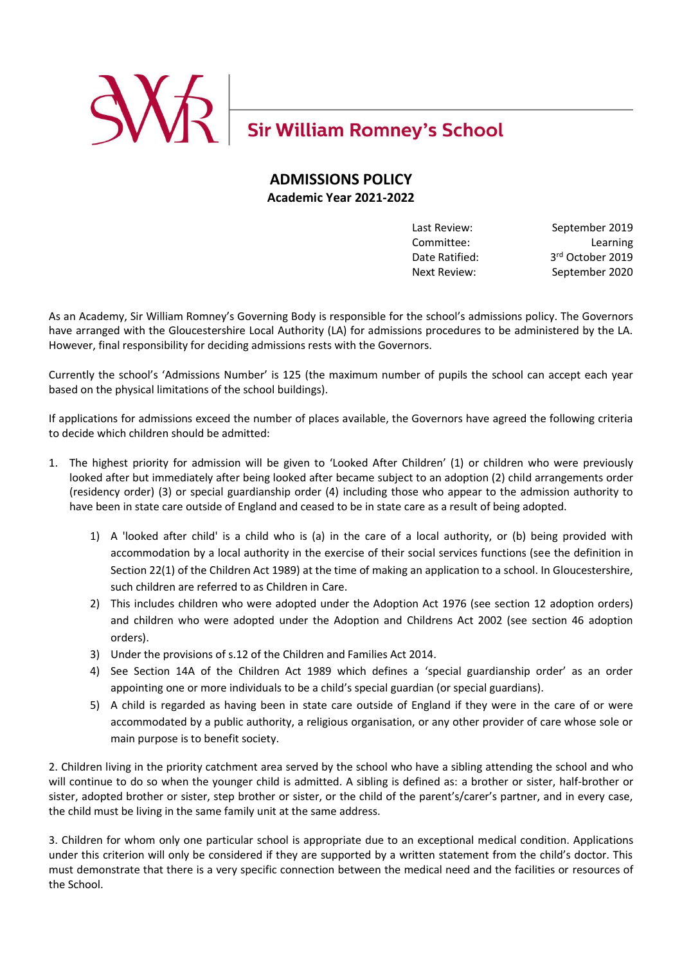

# **ADMISSIONS POLICY Academic Year 2021-2022**

Date Ratified:

Last Review: September 2019 Committee: Learning 3rd October 2019 Next Review: September 2020

As an Academy, Sir William Romney's Governing Body is responsible for the school's admissions policy. The Governors have arranged with the Gloucestershire Local Authority (LA) for admissions procedures to be administered by the LA. However, final responsibility for deciding admissions rests with the Governors.

Currently the school's 'Admissions Number' is 125 (the maximum number of pupils the school can accept each year based on the physical limitations of the school buildings).

If applications for admissions exceed the number of places available, the Governors have agreed the following criteria to decide which children should be admitted:

- 1. The highest priority for admission will be given to 'Looked After Children' (1) or children who were previously looked after but immediately after being looked after became subject to an adoption (2) child arrangements order (residency order) (3) or special guardianship order (4) including those who appear to the admission authority to have been in state care outside of England and ceased to be in state care as a result of being adopted.
	- 1) A 'looked after child' is a child who is (a) in the care of a local authority, or (b) being provided with accommodation by a local authority in the exercise of their social services functions (see the definition in Section 22(1) of the Children Act 1989) at the time of making an application to a school. In Gloucestershire, such children are referred to as Children in Care.
	- 2) This includes children who were adopted under the Adoption Act 1976 (see section 12 adoption orders) and children who were adopted under the Adoption and Childrens Act 2002 (see section 46 adoption orders).
	- 3) Under the provisions of s.12 of the Children and Families Act 2014.
	- 4) See Section 14A of the Children Act 1989 which defines a 'special guardianship order' as an order appointing one or more individuals to be a child's special guardian (or special guardians).
	- 5) A child is regarded as having been in state care outside of England if they were in the care of or were accommodated by a public authority, a religious organisation, or any other provider of care whose sole or main purpose is to benefit society.

2. Children living in the priority catchment area served by the school who have a sibling attending the school and who will continue to do so when the younger child is admitted. A sibling is defined as: a brother or sister, half-brother or sister, adopted brother or sister, step brother or sister, or the child of the parent's/carer's partner, and in every case, the child must be living in the same family unit at the same address.

3. Children for whom only one particular school is appropriate due to an exceptional medical condition. Applications under this criterion will only be considered if they are supported by a written statement from the child's doctor. This must demonstrate that there is a very specific connection between the medical need and the facilities or resources of the School.